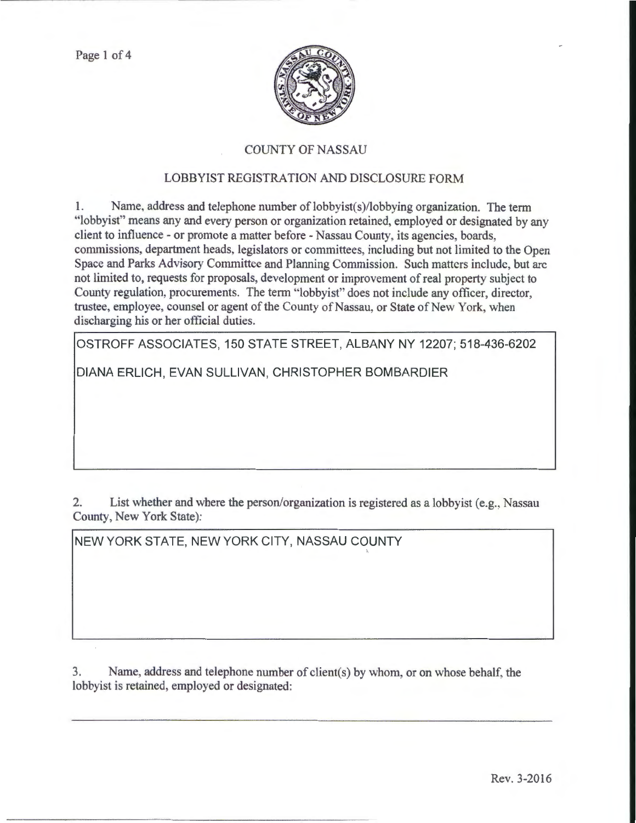Page 1 of 4



## COUNTY OF NASSAU

## LOBBYIST REGISTRATION AND DISCLOSURE FORM

1. Name, address and telephone number of lobbyist(s)/lobbying organization. The term "lobbyist" means any and every person or organization retained, employed or designated by any client to influence- or promote a matter before - Nassau County, its agencies, boards, commissions, department heads, legislators or committees, including but not limited to the Open Space and Parks Advisory Committee and Planning Commission. Such matters include, but arc not limited to, requests for proposals, development or improvement of real property subject to County regulation, procurements. The term "lobbyist" does not include any officer, director, trustee, employee, counsel or agent of the County of Nassau, or State of New York, when discharging his or her official duties.

OSTROFF ASSOCIATES, 150 STATE STREET, ALBANY NY 12207; 518-436-6202

DIANA ERLICH, EVAN SULLIVAN, CHRISTOPHER BOMBARDIER

2. List whether and where the person/organization is registered as a lobbyist (e.g., Nassau County, New York State):

'

NEW YORK STATE, NEW YORK CITY, NASSAU COUNTY

3. Name, address and telephone number of client(s) by whom, or on whose behalf. the lobbyist is retained, employed or designated: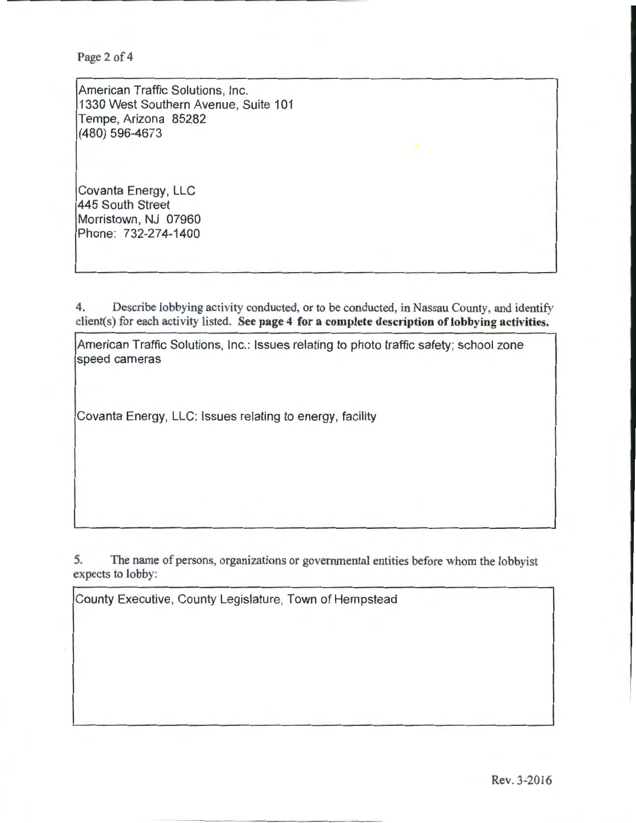Page 2 of 4

American Traffic Solutions, Inc. 1330 West Southern Avenue, Suite 101 Tempe, Arizona 85282 (480) 596-4673

Covanta Energy, LLC 445 South Street Morristown, NJ 07960 Phone: 732-274-1400

4. Describe lobbying activity conducted, or to be conducted, in Nassau County, and identify client(s) for each activity listed. See page 4 for a complete description of lobbying activities.

American Traffic Solutions, Inc.: Issues relating to photo traffic safety; school zone speed cameras

Covanta Energy, LLC: Issues relating to energy, facility

5. The name of persons, organizations or governmental entities before whom the lobbyist expects to lobby:

County Executive, County Legislature, Town of Hempstead